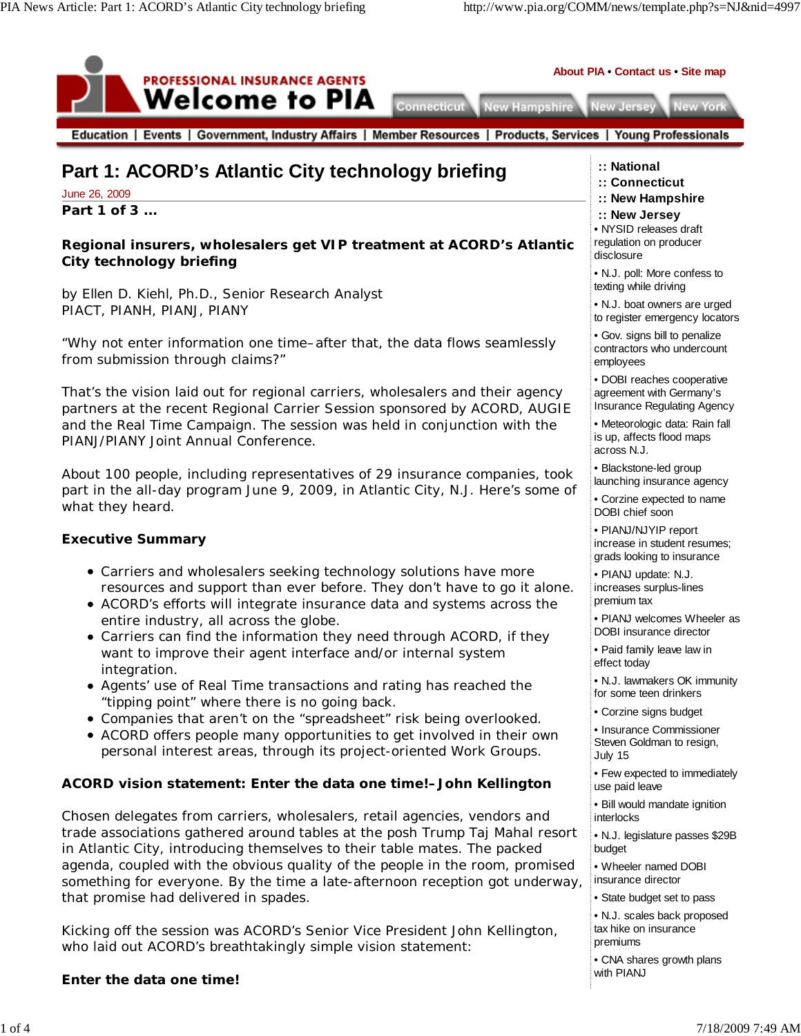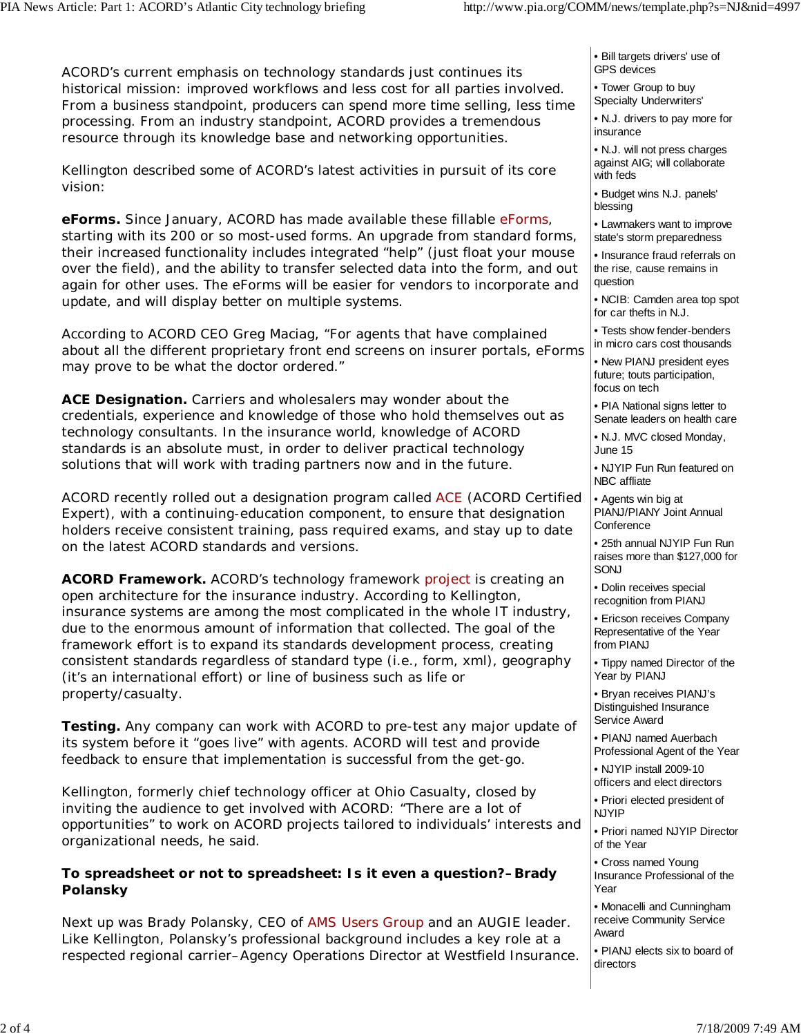ACORD's current emphasis on technology standards just continues its historical mission: improved workflows and less cost for all parties involved. From a business standpoint, producers can spend more time selling, less time processing. From an industry standpoint, ACORD provides a tremendous resource through its knowledge base and networking opportunities.

Kellington described some of ACORD's latest activities in pursuit of its core vision:

**eForms.** Since January, ACORD has made available these fillable eForms, starting with its 200 or so most-used forms. An upgrade from standard forms, their increased functionality includes integrated "help" (just float your mouse over the field), and the ability to transfer selected data into the form, and out again for other uses. The eForms will be easier for vendors to incorporate and update, and will display better on multiple systems.

According to ACORD CEO Greg Maciag, "For agents that have complained about all the different proprietary front end screens on insurer portals, eForms may prove to be what the doctor ordered."

**ACE Designation.** Carriers and wholesalers may wonder about the credentials, experience and knowledge of those who hold themselves out as technology consultants. In the insurance world, knowledge of ACORD standards is an absolute must, in order to deliver practical technology solutions that will work with trading partners now and in the future.

ACORD recently rolled out a designation program called ACE (ACORD Certified Expert), with a continuing-education component, to ensure that designation holders receive consistent training, pass required exams, and stay up to date on the latest ACORD standards and versions.

**ACORD Framework.** ACORD's technology framework project is creating an open architecture for the insurance industry. According to Kellington, insurance systems are among the most complicated in the whole IT industry, due to the enormous amount of information that collected. The goal of the framework effort is to expand its standards development process, creating consistent standards regardless of standard type (i.e., form, xml), geography (it's an international effort) or line of business such as life or property/casualty.

**Testing.** Any company can work with ACORD to pre-test any major update of its system before it "goes live" with agents. ACORD will test and provide feedback to ensure that implementation is successful from the get-go.

Kellington, formerly chief technology officer at Ohio Casualty, closed by inviting the audience to get involved with ACORD: "There are a lot of opportunities" to work on ACORD projects tailored to individuals' interests and organizational needs, he said.

### **To spreadsheet or not to spreadsheet: Is it even a question?–Brady Polansky**

Next up was Brady Polansky, CEO of AMS Users Group and an AUGIE leader. Like Kellington, Polansky's professional background includes a key role at a respected regional carrier–Agency Operations Director at Westfield Insurance. • Bill targets drivers' use of GPS devices

• Tower Group to buy Specialty Underwriters'

• N.J. drivers to pay more for insurance

• N.J. will not press charges against AIG; will collaborate with feds

• Budget wins N.J. panels' blessing

• Lawmakers want to improve state's storm preparedness

• Insurance fraud referrals on the rise, cause remains in question

• NCIB: Camden area top spot for car thefts in N.J.

• Tests show fender-benders in micro cars cost thousands

• New PIANJ president eyes future; touts participation, focus on tech

• PIA National signs letter to Senate leaders on health care

• N.J. MVC closed Monday, June 15

• NJYIP Fun Run featured on NBC affliate

• Agents win big at PIANJ/PIANY Joint Annual **Conference** 

• 25th annual NJYIP Fun Run raises more than \$127,000 for SONJ

• Dolin receives special recognition from PIANJ

• Ericson receives Company Representative of the Year from PIANJ

• Tippy named Director of the Year by PIANJ

• Bryan receives PIANJ's Distinguished Insurance Service Award

• PIANJ named Auerbach Professional Agent of the Year

• NJYIP install 2009-10 officers and elect directors

• Priori elected president of NJYIP

• Priori named NJYIP Director of the Year

• Cross named Young Insurance Professional of the Year

• Monacelli and Cunningham receive Community Service Award

• PIANJ elects six to board of directors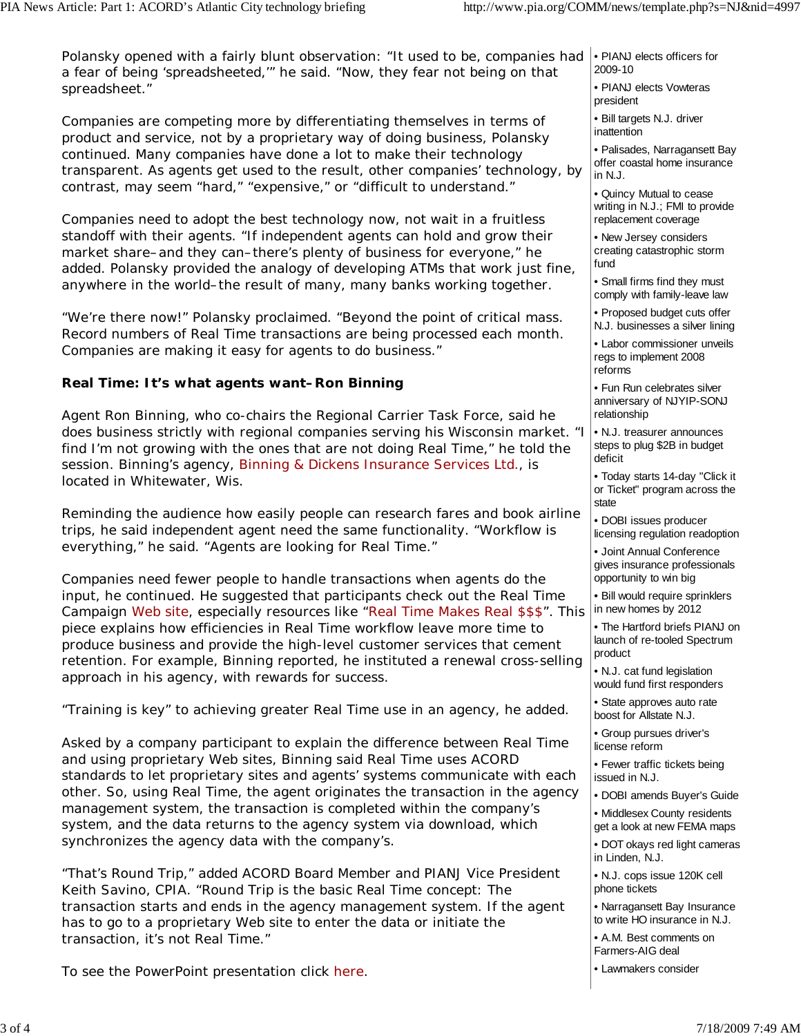Polansky opened with a fairly blunt observation: "It used to be, companies had e PIANJ elects officers for a fear of being 'spreadsheeted,'" he said. "Now, they fear *not* being on that spreadsheet." 2009-10

Companies are competing more by differentiating themselves in terms of product and service, not by a proprietary way of doing business, Polansky continued. Many companies have done a lot to make their technology transparent. As agents get used to the result, other companies' technology, by contrast, may seem "hard," "expensive," or "difficult to understand."

Companies need to adopt the best technology now, not wait in a fruitless standoff with their agents. "If independent agents can hold and grow their market share–and they can–there's plenty of business for everyone," he added. Polansky provided the analogy of developing ATMs that work just fine, anywhere in the world–the result of many, many banks working together.

"We're there now!" Polansky proclaimed. "Beyond the point of critical mass. Record numbers of Real Time transactions are being processed each month. Companies are making it easy for agents to do business."

### **Real Time: It's what agents want–Ron Binning**

Agent Ron Binning, who co-chairs the Regional Carrier Task Force, said he does business strictly with regional companies serving his Wisconsin market. "I find I'm not growing with the ones that are not doing Real Time," he told the session. Binning's agency, Binning & Dickens Insurance Services Ltd., is located in Whitewater, Wis.

Reminding the audience how easily people can research fares and book airline trips, he said independent agent need the same functionality. "Workflow is everything," he said. "Agents are looking for Real Time."

Companies need fewer people to handle transactions when agents do the input, he continued. He suggested that participants check out the Real Time Campaign Web site, especially resources like "Real Time Makes Real \$\$\$". This piece explains how efficiencies in Real Time workflow leave more time to produce business and provide the high-level customer services that cement retention. For example, Binning reported, he instituted a renewal cross-selling approach in his agency, with rewards for success.

"Training is key" to achieving greater Real Time use in an agency, he added.

Asked by a company participant to explain the difference between Real Time and using proprietary Web sites, Binning said Real Time uses ACORD standards to let proprietary sites and agents' systems communicate with each other. So, using Real Time, the agent originates the transaction in the agency management system, the transaction is completed within the company's system, and the data returns to the agency system via download, which synchronizes the agency data with the company's.

"That's Round Trip," added ACORD Board Member and PIANJ Vice President Keith Savino, CPIA. "Round Trip is the basic Real Time concept: The transaction starts and ends in the agency management system. If the agent has to go to a proprietary Web site to enter the data or initiate the transaction, it's not Real Time."

To see the PowerPoint presentation click here.

- 
- PIANJ elects Vowteras president
- Bill targets N.J. driver inattention

• Palisades, Narragansett Bay offer coastal home insurance in N.J.

• Quincy Mutual to cease writing in N.J.; FMI to provide replacement coverage

• New Jersey considers creating catastrophic storm fund

• Small firms find they must comply with family-leave law

• Proposed budget cuts offer N.J. businesses a silver lining

• Labor commissioner unveils regs to implement 2008 reforms

• Fun Run celebrates silver anniversary of NJYIP-SONJ relationship

• N.J. treasurer announces steps to plug \$2B in budget deficit

• Today starts 14-day "Click it or Ticket" program across the state

• DOBI issues producer licensing regulation readoption

• Joint Annual Conference gives insurance professionals opportunity to win big

• Bill would require sprinklers in new homes by 2012

• The Hartford briefs PIANJ on launch of re-tooled Spectrum product

• N.J. cat fund legislation would fund first responders

• State approves auto rate boost for Allstate N.J.

• Group pursues driver's license reform

- Fewer traffic tickets being issued in N.J.
- DOBI amends Buyer's Guide
- Middlesex County residents get a look at new FEMA maps

• DOT okays red light cameras in Linden, N.J.

• N.J. cops issue 120K cell phone tickets

• Narragansett Bay Insurance to write HO insurance in N.J.

• A.M. Best comments on Farmers-AIG deal

• Lawmakers consider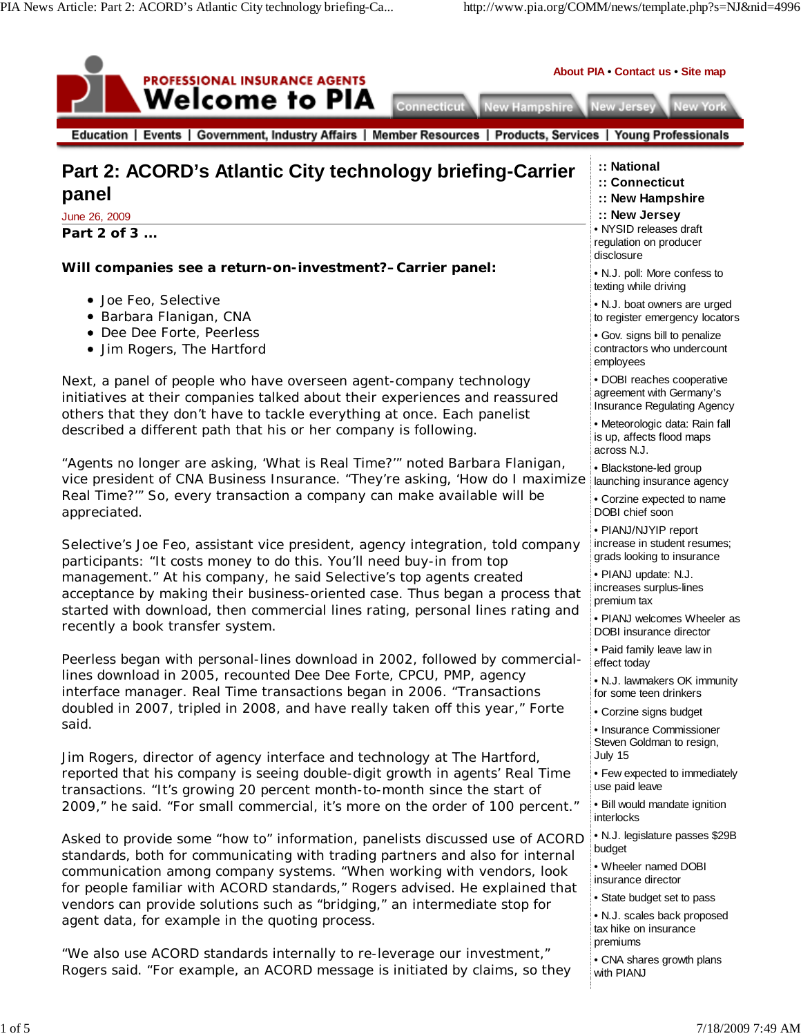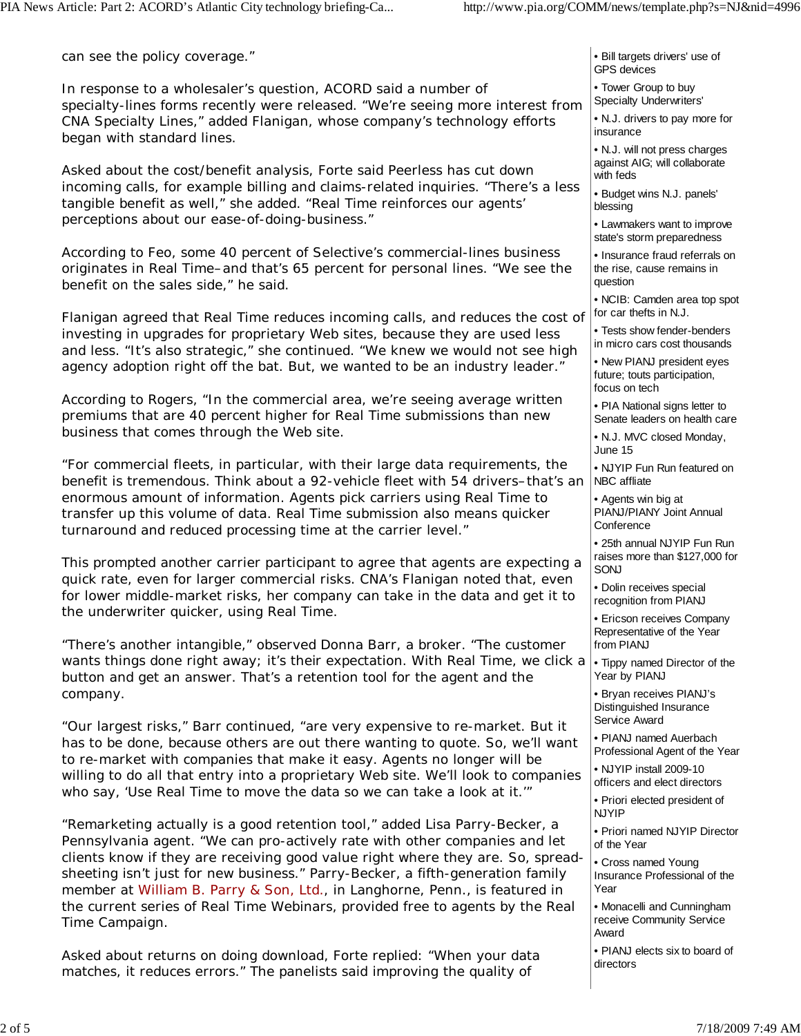can see the policy coverage."

In response to a wholesaler's question, ACORD said a number of specialty-lines forms recently were released. "We're seeing more interest from CNA Specialty Lines," added Flanigan, whose company's technology efforts began with standard lines.

Asked about the cost/benefit analysis, Forte said Peerless has cut down incoming calls, for example billing and claims-related inquiries. "There's a less tangible benefit as well," she added. "Real Time reinforces our agents' perceptions about our ease-of-doing-business."

According to Feo, some 40 percent of Selective's commercial-lines business originates in Real Time–and that's 65 percent for personal lines. "We see the benefit on the sales side," he said.

Flanigan agreed that Real Time reduces incoming calls, and reduces the cost of investing in upgrades for proprietary Web sites, because they are used less and less. "It's also strategic," she continued. "We knew we would not see high agency adoption right off the bat. But, we wanted to be an industry leader."

According to Rogers, "In the commercial area, we're seeing average written premiums that are 40 percent higher for Real Time submissions than new business that comes through the Web site.

"For commercial fleets, in particular, with their large data requirements, the benefit is tremendous. Think about a 92-vehicle fleet with 54 drivers–that's an enormous amount of information. Agents pick carriers using Real Time to transfer up this volume of data. Real Time submission also means quicker turnaround and reduced processing time at the carrier level."

This prompted another carrier participant to agree that agents are expecting a quick rate, even for larger commercial risks. CNA's Flanigan noted that, even for lower middle-market risks, her company can take in the data and get it to the underwriter quicker, using Real Time.

"There's another intangible," observed Donna Barr, a broker. "The customer wants things done right away; it's *their* expectation. With Real Time, we click a button and get an answer. That's a retention tool for the agent and the company.

"Our largest risks," Barr continued, "are very expensive to re-market. But it has to be done, because others are out there wanting to quote. So, we'll want to re-market with companies that make it easy. Agents no longer will be willing to do all that entry into a proprietary Web site. We'll look to companies who say, 'Use Real Time to move the data so we can take a look at it.'"

"Remarketing actually is a good retention tool," added Lisa Parry-Becker, a Pennsylvania agent. "We can pro-actively rate with other companies and let clients know if they are receiving good value right where they are. So, spreadsheeting isn't just for new business." Parry-Becker, a fifth-generation family member at William B. Parry & Son, Ltd., in Langhorne, Penn., is featured in the current series of Real Time Webinars, provided free to agents by the Real Time Campaign.

Asked about returns on doing download, Forte replied: "When your data matches, it reduces errors." The panelists said improving the quality of

• Bill targets drivers' use of GPS devices

• Tower Group to buy Specialty Underwriters'

• N.J. drivers to pay more for insurance

• N.J. will not press charges against AIG; will collaborate with feds

• Budget wins N.J. panels' blessing

• Lawmakers want to improve state's storm preparedness

• Insurance fraud referrals on the rise, cause remains in question

• NCIB: Camden area top spot for car thefts in N.J.

• Tests show fender-benders

in micro cars cost thousands

• New PIANJ president eyes future; touts participation, focus on tech

• PIA National signs letter to Senate leaders on health care

• N.J. MVC closed Monday, June 15

• NJYIP Fun Run featured on NBC affliate

• Agents win big at PIANJ/PIANY Joint Annual **Conference** 

• 25th annual NJYIP Fun Run raises more than \$127,000 for SONJ

• Dolin receives special recognition from PIANJ

• Ericson receives Company Representative of the Year from PIANJ

• Tippy named Director of the Year by PIANJ

• Bryan receives PIANJ's Distinguished Insurance Service Award

• PIANJ named Auerbach Professional Agent of the Year

• NJYIP install 2009-10 officers and elect directors

• Priori elected president of NJYIP

• Priori named NJYIP Director of the Year

• Cross named Young Insurance Professional of the Year

• Monacelli and Cunningham receive Community Service Award

• PIANJ elects six to board of directors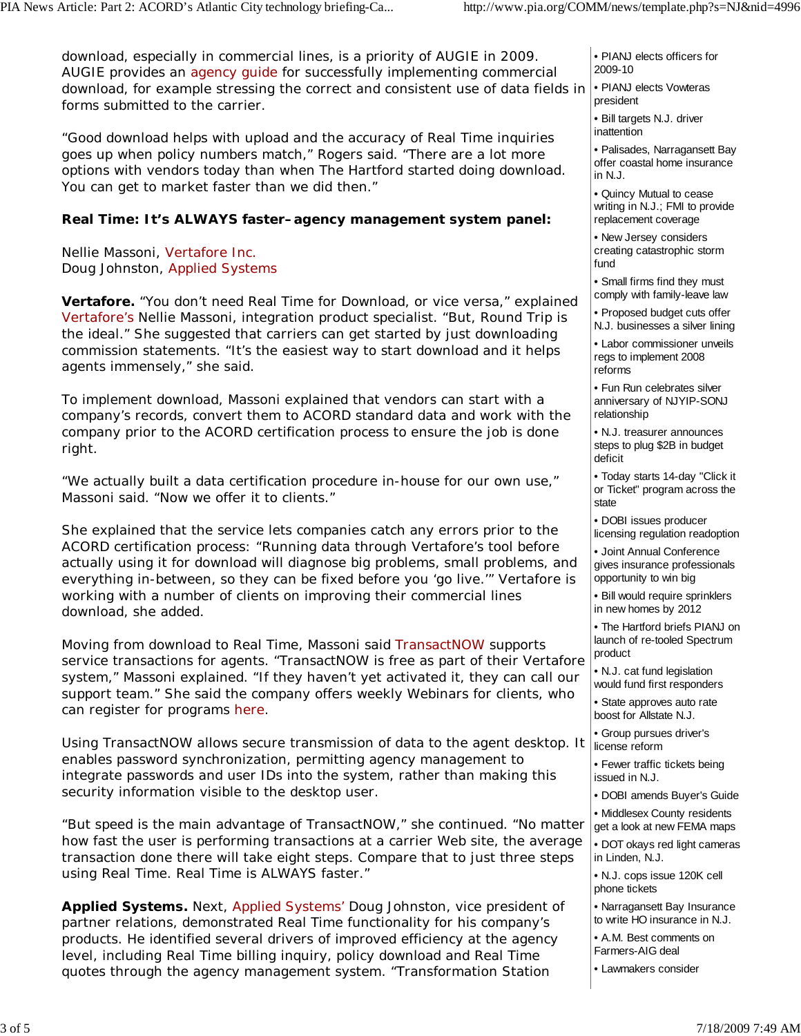download, especially in commercial lines, is a priority of AUGIE in 2009. AUGIE provides an agency guide for successfully implementing commercial download, for example stressing the correct and consistent use of data fields in forms submitted to the carrier.

"Good download helps with upload and the accuracy of Real Time inquiries goes up when policy numbers match," Rogers said. "There are a lot more options with vendors today than when The Hartford started doing download. You can get to market faster than we did then."

## **Real Time: It's ALWAYS faster–agency management system panel:**

Nellie Massoni, Vertafore Inc. Doug Johnston, Applied Systems

**Vertafore.** "You don't need Real Time for Download, or vice versa," explained Vertafore's Nellie Massoni, integration product specialist. "But, Round Trip is the ideal." She suggested that carriers can get started by just downloading commission statements. "It's the easiest way to start download and it helps agents immensely," she said.

To implement download, Massoni explained that vendors can start with a company's records, convert them to ACORD standard data and work with the company prior to the ACORD certification process to ensure the job is done right.

"We actually built a data certification procedure in-house for our own use," Massoni said. "Now we offer it to clients."

She explained that the service lets companies catch any errors prior to the ACORD certification process: "Running data through Vertafore's tool before actually using it for download will diagnose big problems, small problems, and everything in-between, so they can be fixed before you 'go live.'" Vertafore is working with a number of clients on improving their commercial lines download, she added.

Moving from download to Real Time, Massoni said TransactNOW supports service transactions for agents. "TransactNOW is free as part of their Vertafore system," Massoni explained. "If they haven't yet activated it, they can call our support team." She said the company offers weekly Webinars for clients, who can register for programs here.

Using TransactNOW allows secure transmission of data to the agent desktop. It enables password synchronization, permitting agency management to integrate passwords and user IDs into the system, rather than making this security information visible to the desktop user.

"But speed is the main advantage of TransactNOW," she continued. "No matter how fast the user is performing transactions at a carrier Web site, the average transaction done there will take eight steps. Compare that to just three steps using Real Time. Real Time is ALWAYS faster."

**Applied Systems.** Next, Applied Systems' Doug Johnston, vice president of partner relations, demonstrated Real Time functionality for his company's products. He identified several drivers of improved efficiency at the agency level, including Real Time billing inquiry, policy download and Real Time quotes through the agency management system. "Transformation Station

| • PIANJ elects officers for |
|-----------------------------|
| 2009-10                     |

- PIANJ elects Vowteras president
- Bill targets N.J. driver inattention

• Palisades, Narragansett Bay offer coastal home insurance in N.J.

• Quincy Mutual to cease writing in N.J.; FMI to provide replacement coverage

• New Jersey considers creating catastrophic storm fund

• Small firms find they must

comply with family-leave law • Proposed budget cuts offer

N.J. businesses a silver lining • Labor commissioner unveils

regs to implement 2008 reforms

• Fun Run celebrates silver anniversary of NJYIP-SONJ relationship

• N.J. treasurer announces steps to plug \$2B in budget deficit

• Today starts 14-day "Click it or Ticket" program across the state

• DOBI issues producer licensing regulation readoption

• Joint Annual Conference gives insurance professionals opportunity to win big

• Bill would require sprinklers in new homes by 2012

• The Hartford briefs PIANJ on launch of re-tooled Spectrum product

• N.J. cat fund legislation would fund first responders

• State approves auto rate boost for Allstate N.J.

• Group pursues driver's license reform

• Fewer traffic tickets being issued in N.J.

• DOBI amends Buyer's Guide

• Middlesex County residents get a look at new FEMA maps

• DOT okays red light cameras in Linden, N.J.

• N.J. cops issue 120K cell phone tickets

• Narragansett Bay Insurance to write HO insurance in N.J.

• A.M. Best comments on Farmers-AIG deal

• Lawmakers consider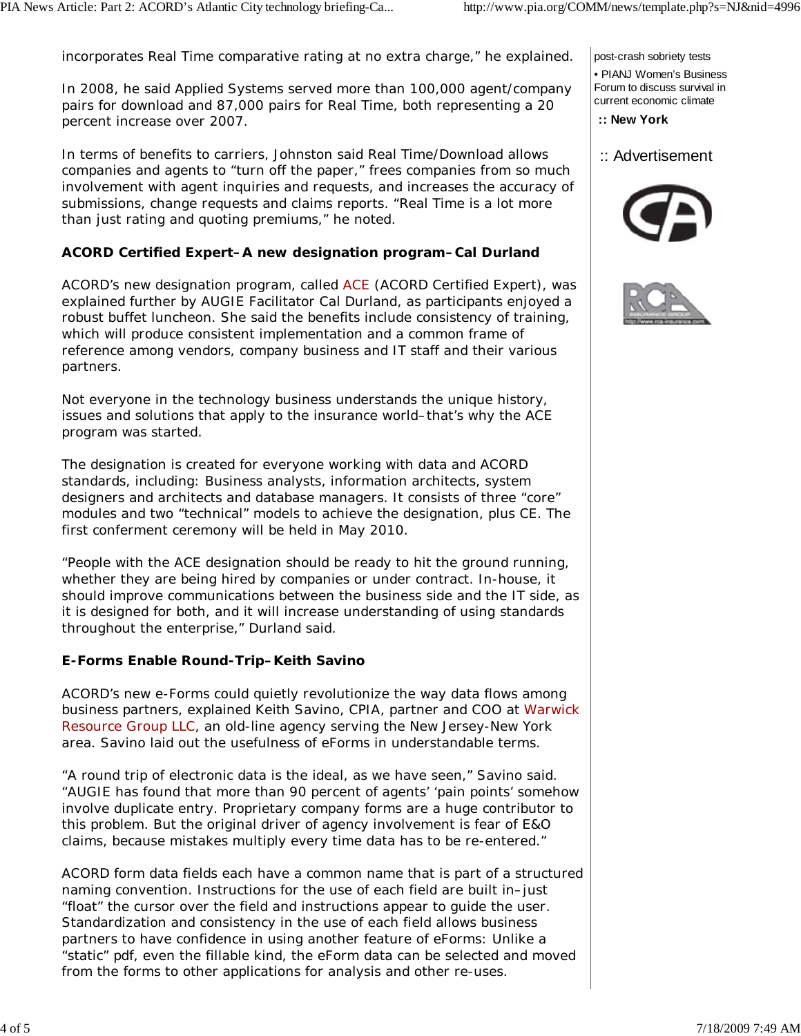incorporates Real Time comparative rating at no extra charge," he explained.

In 2008, he said Applied Systems served more than 100,000 agent/company pairs for download and 87,000 pairs for Real Time, both representing a 20 percent increase over 2007.

In terms of benefits to carriers, Johnston said Real Time/Download allows companies and agents to "turn off the paper," frees companies from so much involvement with agent inquiries and requests, and increases the accuracy of submissions, change requests and claims reports. "Real Time is a lot more than just rating and quoting premiums," he noted.

## **ACORD Certified Expert–A new designation program–Cal Durland**

ACORD's new designation program, called ACE (ACORD Certified Expert), was explained further by AUGIE Facilitator Cal Durland, as participants enjoyed a robust buffet luncheon. She said the benefits include consistency of training, which will produce consistent implementation and a common frame of reference among vendors, company business and IT staff and their various partners.

Not everyone in the technology business understands the unique history, issues and solutions that apply to the insurance world–that's why the ACE program was started.

The designation is created for everyone working with data and ACORD standards, including: Business analysts, information architects, system designers and architects and database managers. It consists of three "core" modules and two "technical" models to achieve the designation, plus CE. The first conferment ceremony will be held in May 2010.

"People with the ACE designation should be ready to hit the ground running, whether they are being hired by companies or under contract. In-house, it should improve communications between the business side and the IT side, as it is designed for both, and it will increase understanding of using standards throughout the enterprise," Durland said.

### **E-Forms Enable Round-Trip–Keith Savino**

ACORD's new e-Forms could quietly revolutionize the way data flows among business partners, explained Keith Savino, CPIA, partner and COO at Warwick Resource Group LLC, an old-line agency serving the New Jersey-New York area. Savino laid out the usefulness of eForms in understandable terms.

"A round trip of electronic data is the ideal, as we have seen," Savino said. "AUGIE has found that more than 90 percent of agents' 'pain points' somehow involve duplicate entry. Proprietary company forms are a huge contributor to this problem. But the original driver of agency involvement is fear of E&O claims, because mistakes multiply every time data has to be re-entered."

ACORD form data fields each have a common name that is part of a structured naming convention. Instructions for the use of each field are built in–just "float" the cursor over the field and instructions appear to guide the user. Standardization and consistency in the use of each field allows business partners to have confidence in using another feature of eForms: Unlike a "static" pdf, even the fillable kind, the eForm data can be selected and moved from the forms to other applications for analysis and other re-uses.

post-crash sobriety tests

• PIANJ Women's Business Forum to discuss survival in current economic climate

 **:: New York**

 <sup>::</sup> Advertisement



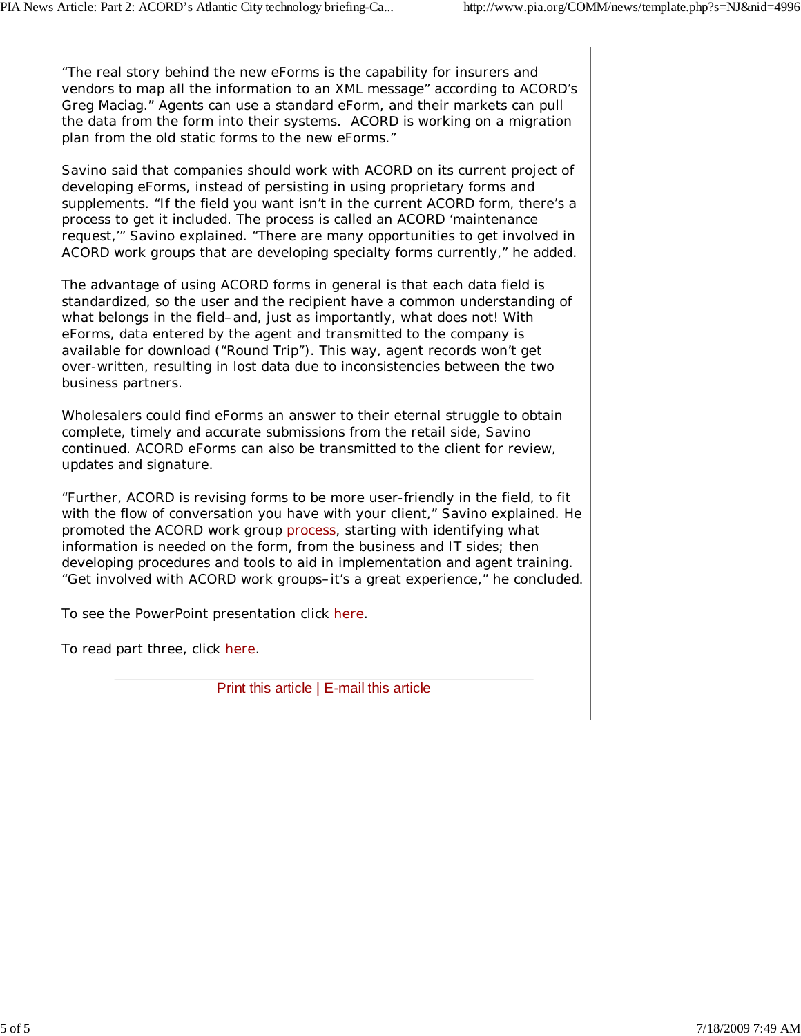"The real story behind the new eForms is the capability for insurers and vendors to map all the information to an XML message" according to ACORD's Greg Maciag." Agents can use a standard eForm, and their markets can pull the data from the form into their systems. ACORD is working on a migration plan from the old static forms to the new eForms."

Savino said that companies should work with ACORD on its current project of developing eForms, instead of persisting in using proprietary forms and supplements. "If the field you want isn't in the current ACORD form, there's a process to get it included. The process is called an ACORD 'maintenance request,'" Savino explained. "There are many opportunities to get involved in ACORD work groups that are developing specialty forms currently," he added.

The advantage of using ACORD forms in general is that each data field is standardized, so the user and the recipient have a common understanding of what belongs in the field–and, just as importantly, what does *not*! With eForms, data entered by the agent and transmitted to the company is available for download ("Round Trip"). This way, agent records won't get over-written, resulting in lost data due to inconsistencies between the two business partners.

Wholesalers could find eForms an answer to their eternal struggle to obtain complete, timely and accurate submissions from the retail side, Savino continued. ACORD eForms can also be transmitted to the client for review, updates and signature.

"Further, ACORD is revising forms to be more user-friendly in the field, to fit with the flow of conversation you have with your client," Savino explained. He promoted the ACORD work group process, starting with identifying what information is needed on the form, from the business and IT sides; then developing procedures and tools to aid in implementation and agent training. "Get involved with ACORD work groups–it's a great experience," he concluded.

To see the PowerPoint presentation click here.

To read part three, click here.

Print this article | E-mail this article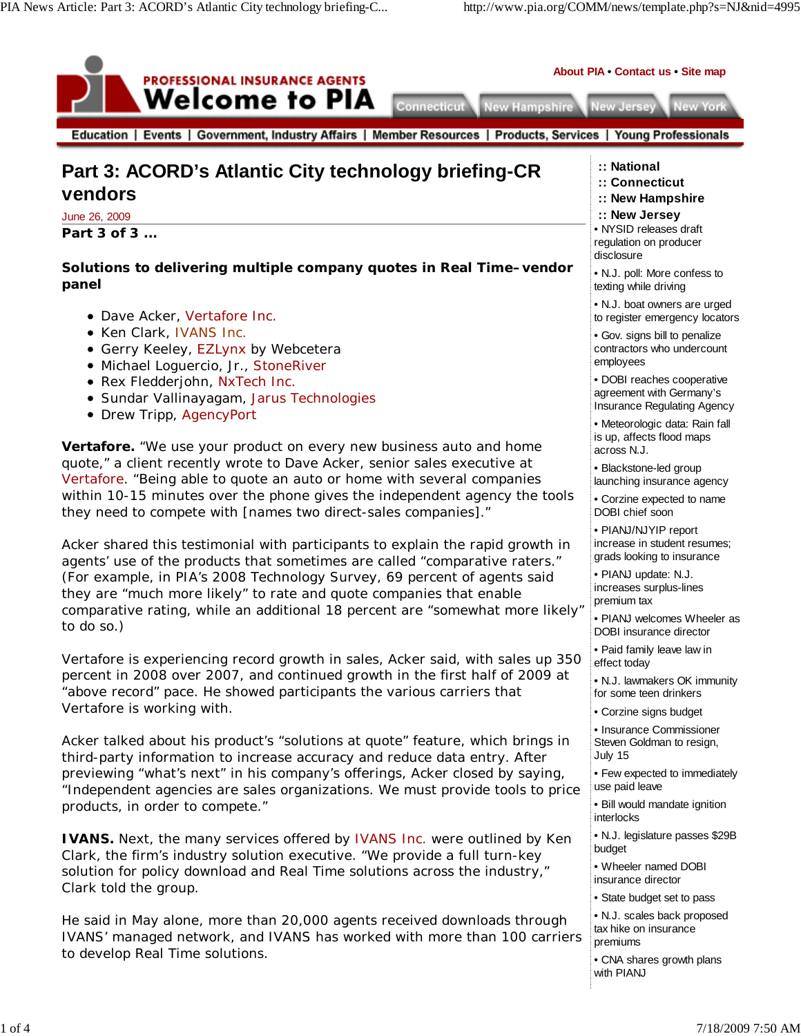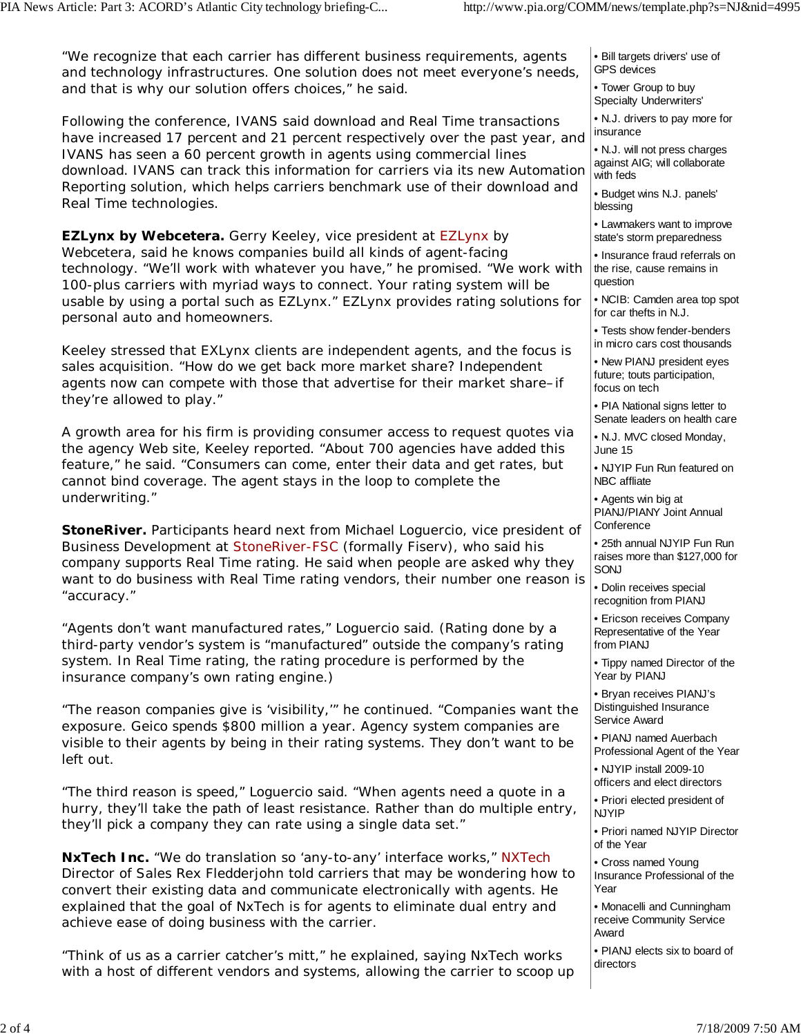"We recognize that each carrier has different business requirements, agents and technology infrastructures. One solution does not meet everyone's needs, and that is why our solution offers choices," he said.

Following the conference, IVANS said download and Real Time transactions have increased 17 percent and 21 percent respectively over the past year, and IVANS has seen a 60 percent growth in agents using commercial lines download. IVANS can track this information for carriers via its new Automation Reporting solution, which helps carriers benchmark use of their download and Real Time technologies.

**EZLynx by Webcetera.** Gerry Keeley, vice president at EZLynx by Webcetera, said he knows companies build all kinds of agent-facing technology. "We'll work with whatever you have," he promised. "We work with 100-plus carriers with myriad ways to connect. Your rating system will be usable by using a portal such as EZLynx." EZLynx provides rating solutions for personal auto and homeowners.

Keeley stressed that EXLynx clients are independent agents, and the focus is sales acquisition. "How do we get back more market share? Independent agents now can compete with those that advertise for their market share–if they're allowed to play."

A growth area for his firm is providing consumer access to request quotes via the agency Web site, Keeley reported. "About 700 agencies have added this feature," he said. "Consumers can come, enter their data and get rates, but cannot bind coverage. The agent stays in the loop to complete the underwriting."

**StoneRiver.** Participants heard next from Michael Loguercio, vice president of Business Development at StoneRiver-FSC (formally Fiserv), who said his company supports Real Time rating. He said when people are asked why they want to do business with Real Time rating vendors, their number one reason is "accuracy."

"Agents don't want manufactured rates," Loguercio said. (Rating done by a third-party vendor's system is "manufactured" outside the company's rating system. In Real Time rating, the rating procedure is performed by the insurance company's own rating engine.)

"The reason companies give is 'visibility,'" he continued. "Companies want the exposure. Geico spends \$800 million a year. Agency system companies are visible to their agents by being in their rating systems. They don't want to be left out.

"The third reason is speed," Loguercio said. "When agents need a quote in a hurry, they'll take the path of least resistance. Rather than do multiple entry, they'll pick a company they can rate using a single data set."

**NxTech Inc.** "We do translation so 'any-to-any' interface works," NXTech Director of Sales Rex Fledderjohn told carriers that may be wondering how to convert their existing data and communicate electronically with agents. He explained that the goal of NxTech is for agents to eliminate dual entry and achieve ease of doing business with the carrier.

"Think of us as a carrier catcher's mitt," he explained, saying NxTech works with a host of different vendors and systems, allowing the carrier to scoop up • Bill targets drivers' use of GPS devices

• Tower Group to buy Specialty Underwriters'

• N.J. drivers to pay more for insurance

• N.J. will not press charges against AIG; will collaborate with feds

• Budget wins N.J. panels' blessing

• Lawmakers want to improve state's storm preparedness

• Insurance fraud referrals on the rise, cause remains in question

• NCIB: Camden area top spot for car thefts in N.J.

• Tests show fender-benders

in micro cars cost thousands

• New PIANJ president eyes future; touts participation, focus on tech

• PIA National signs letter to Senate leaders on health care

• N.J. MVC closed Monday, June 15

• NJYIP Fun Run featured on NBC affliate

• Agents win big at PIANJ/PIANY Joint Annual **Conference** 

• 25th annual NJYIP Fun Run raises more than \$127,000 for SONJ

• Dolin receives special recognition from PIANJ

• Ericson receives Company Representative of the Year from PIANJ

• Tippy named Director of the Year by PIANJ

• Bryan receives PIANJ's Distinguished Insurance Service Award

• PIANJ named Auerbach Professional Agent of the Year

• NJYIP install 2009-10 officers and elect directors

• Priori elected president of NJYIP

• Priori named NJYIP Director of the Year

• Cross named Young Insurance Professional of the Year

• Monacelli and Cunningham receive Community Service Award

• PIANJ elects six to board of directors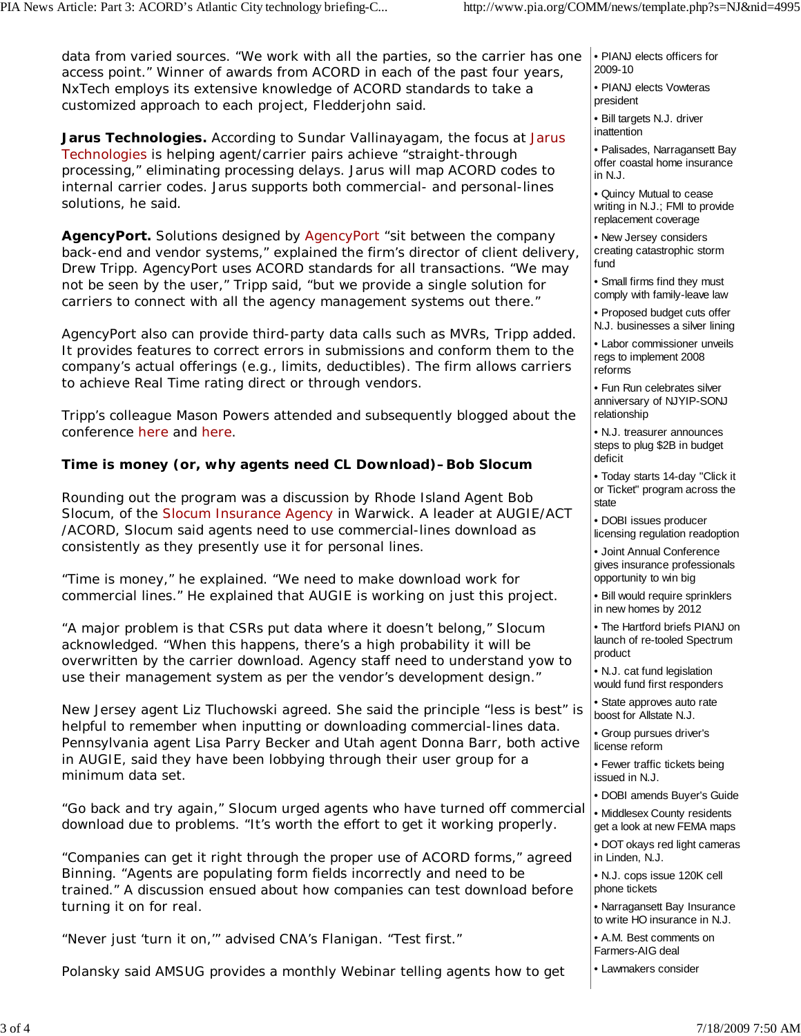data from varied sources. "We work with all the parties, so the carrier has one access point." Winner of awards from ACORD in each of the past four years, NxTech employs its extensive knowledge of ACORD standards to take a customized approach to each project, Fledderjohn said.

**Jarus Technologies.** According to Sundar Vallinayagam, the focus at Jarus Technologies is helping agent/carrier pairs achieve "straight-through processing," eliminating processing delays. Jarus will map ACORD codes to internal carrier codes. Jarus supports both commercial- and personal-lines solutions, he said.

**AgencyPort.** Solutions designed by AgencyPort "sit between the company back-end and vendor systems," explained the firm's director of client delivery, Drew Tripp. AgencyPort uses ACORD standards for all transactions. "We may not be seen by the user," Tripp said, "but we provide a single solution for carriers to connect with all the agency management systems out there."

AgencyPort also can provide third-party data calls such as MVRs, Tripp added. It provides features to correct errors in submissions and conform them to the company's actual offerings (e.g., limits, deductibles). The firm allows carriers to achieve Real Time rating direct or through vendors.

Tripp's colleague Mason Powers attended and subsequently blogged about the conference here and here.

### **Time is money (or, why agents need CL Download)–Bob Slocum**

Rounding out the program was a discussion by Rhode Island Agent Bob Slocum, of the Slocum Insurance Agency in Warwick. A leader at AUGIE/ACT /ACORD, Slocum said agents need to use commercial-lines download as consistently as they presently use it for personal lines.

"Time is money," he explained. "We need to make download work for commercial lines." He explained that AUGIE is working on just this project.

"A major problem is that CSRs put data where it doesn't belong," Slocum acknowledged. "When this happens, there's a high probability it will be overwritten by the carrier download. Agency staff need to understand yow to use their management system as per the vendor's development design."

New Jersey agent Liz Tluchowski agreed. She said the principle "less is best" is helpful to remember when inputting or downloading commercial-lines data. Pennsylvania agent Lisa Parry Becker and Utah agent Donna Barr, both active in AUGIE, said they have been lobbying through their user group for a minimum data set.

"Go back and try again," Slocum urged agents who have turned off commercial download due to problems. "It's worth the effort to get it working properly.

"Companies can get it right through the proper use of ACORD forms," agreed Binning. "Agents are populating form fields incorrectly and need to be trained." A discussion ensued about how companies can test download before turning it on for real.

"Never just 'turn it on,'" advised CNA's Flanigan. "Test first."

Polansky said AMSUG provides a monthly Webinar telling agents how to get

- PIANJ elects officers for 2009-10
- PIANJ elects Vowteras president
- Bill targets N.J. driver inattention

• Palisades, Narragansett Bay offer coastal home insurance in N.J.

• Quincy Mutual to cease writing in N.J.; FMI to provide replacement coverage

• New Jersey considers creating catastrophic storm fund

• Small firms find they must comply with family-leave law

• Proposed budget cuts offer N.J. businesses a silver lining

• Labor commissioner unveils regs to implement 2008 reforms

• Fun Run celebrates silver anniversary of NJYIP-SONJ relationship

• N.J. treasurer announces steps to plug \$2B in budget deficit

• Today starts 14-day "Click it or Ticket" program across the state

• DOBI issues producer licensing regulation readoption

• Joint Annual Conference gives insurance professionals opportunity to win big

• Bill would require sprinklers in new homes by 2012

• The Hartford briefs PIANJ on launch of re-tooled Spectrum product

• N.J. cat fund legislation would fund first responders

• State approves auto rate boost for Allstate N.J.

• Group pursues driver's license reform

• Fewer traffic tickets being issued in N.J.

- DOBI amends Buyer's Guide
- Middlesex County residents get a look at new FEMA maps
- DOT okays red light cameras in Linden, N.J.

• N.J. cops issue 120K cell phone tickets

• Narragansett Bay Insurance to write HO insurance in N.J.

• A.M. Best comments on Farmers-AIG deal

• Lawmakers consider